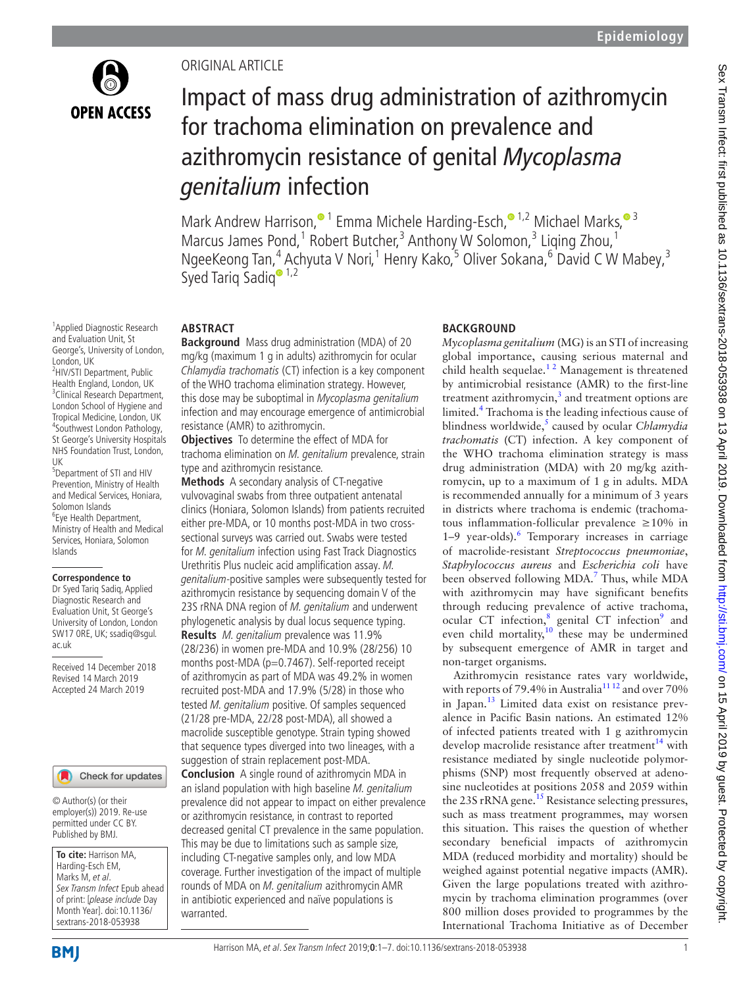

1 Applied Diagnostic Research and Evaluation Unit, St George's, University of London,

<sup>2</sup>HIV/STI Department, Public Health England, London, UK <sup>3</sup> <sup>3</sup>Clinical Research Department, London School of Hygiene and Tropical Medicine, London, UK <sup>4</sup> Southwest London Pathology, St George's University Hospitals NHS Foundation Trust, London,

<sup>5</sup>Department of STI and HIV Prevention, Ministry of Health and Medical Services, Honiara,

Solomon Islands Eye Health Department, Ministry of Health and Medical Services, Honiara, Solomon

**Correspondence to** Dr Syed Tariq Sadiq, Applied Diagnostic Research and Evaluation Unit, St George's University of London, London SW17 0RE, UK; ssadiq@sgul.

Received 14 December 2018 Revised 14 March 2019 Accepted 24 March 2019

London, UK

UK

Islands

ac.uk

## Original article

# Impact of mass drug administration of azithromycin for trachoma elimination on prevalence and azithromycin resistance of genital *Mycoplasma genitalium* infection

Mark Andrew Harrison[,](http://orcid.org/0000-0002-7585-4743)<sup>1</sup> Emma Michele Harding-Esch,<sup>01,2</sup> Michael Marks,<sup>03</sup> Marcus James Pond,<sup>1</sup> Robert Butcher,<sup>3</sup> Anthony W Solomon,<sup>3</sup> Liqing Zhou,<sup>1</sup> NgeeKeong Tan,<sup>4</sup> Achyuta V Nori,<sup>1</sup> Henry Kako,<sup>5</sup> Oliver Sokana,<sup>6</sup> David C W Mabey,<sup>3</sup> Syed Tariq Sadiq<sup>® 1,2</sup>

## **Abstract**

**Background** Mass drug administration (MDA) of 20 mg/kg (maximum 1 g in adults) azithromycin for ocular Chlamydia trachomatis (CT) infection is a key component of the WHO trachoma elimination strategy. However, this dose may be suboptimal in Mycoplasma genitalium infection and may encourage emergence of antimicrobial resistance (AMR) to azithromycin.

**Objectives** To determine the effect of MDA for trachoma elimination on M. genitalium prevalence, strain type and azithromycin resistance.

**Methods** A secondary analysis of CT-negative vulvovaginal swabs from three outpatient antenatal clinics (Honiara, Solomon Islands) from patients recruited either pre-MDA, or 10 months post-MDA in two crosssectional surveys was carried out. Swabs were tested for M. genitalium infection using Fast Track Diagnostics Urethritis Plus nucleic acid amplification assay. M. genitalium-positive samples were subsequently tested for azithromycin resistance by sequencing domain V of the 23S rRNA DNA region of M. genitalium and underwent phylogenetic analysis by dual locus sequence typing. **Results** M. genitalium prevalence was 11.9% (28/236) in women pre-MDA and 10.9% (28/256) 10 months post-MDA (p=0.7467). Self-reported receipt of azithromycin as part of MDA was 49.2% in women recruited post-MDA and 17.9% (5/28) in those who tested M. genitalium positive. Of samples sequenced (21/28 pre-MDA, 22/28 post-MDA), all showed a macrolide susceptible genotype. Strain typing showed that sequence types diverged into two lineages, with a suggestion of strain replacement post-MDA.

**Conclusion** A single round of azithromycin MDA in an island population with high baseline M. genitalium prevalence did not appear to impact on either prevalence or azithromycin resistance, in contrast to reported decreased genital CT prevalence in the same population. This may be due to limitations such as sample size, including CT-negative samples only, and low MDA coverage. Further investigation of the impact of multiple rounds of MDA on M. genitalium azithromycin AMR in antibiotic experienced and naïve populations is warranted.

## **BACKGROUND**

*Mycoplasma genitalium* (MG) is an STI of increasing global importance, causing serious maternal and child health sequelae. $12$  Management is threatened by antimicrobial resistance (AMR) to the first-line treatment azithromycin, $3$  and treatment options are limited.[4](#page-5-2) Trachoma is the leading infectious cause of blindness worldwide,<sup>[5](#page-5-3)</sup> caused by ocular *Chlamydia trachomatis* (CT) infection. A key component of the WHO trachoma elimination strategy is mass drug administration (MDA) with 20 mg/kg azithromycin, up to a maximum of 1 g in adults. MDA is recommended annually for a minimum of 3 years in districts where trachoma is endemic (trachomatous inflammation-follicular prevalence ≥10% in 1-9 year-olds).<sup>[6](#page-5-4)</sup> Temporary increases in carriage of macrolide-resistant *Streptococcus pneumoniae*, *Staphylococcus aureus* and *Escherichia coli* have been observed following MDA.<sup>7</sup> Thus, while MDA with azithromycin may have significant benefits through reducing prevalence of active trachoma, ocular CT infection,<sup>8</sup> genital CT infection<sup>[9](#page-6-0)</sup> and even child mortality, $10$  these may be undermined by subsequent emergence of AMR in target and non-target organisms.

Azithromycin resistance rates vary worldwide, with reports of 79.4% in Australia<sup>1112</sup> and over 70% in Japan. $^{13}$  $^{13}$  $^{13}$  Limited data exist on resistance prevalence in Pacific Basin nations. An estimated 12% of infected patients treated with 1 g azithromycin develop macrolide resistance after treatment $^{14}$  $^{14}$  $^{14}$  with resistance mediated by single nucleotide polymorphisms (SNP) most frequently observed at adenosine nucleotides at positions 2058 and 2059 within the 23S rRNA gene.<sup>15</sup> Resistance selecting pressures, such as mass treatment programmes, may worsen this situation. This raises the question of whether secondary beneficial impacts of azithromycin MDA (reduced morbidity and mortality) should be weighed against potential negative impacts (AMR). Given the large populations treated with azithromycin by trachoma elimination programmes (over 800 million doses provided to programmes by the International Trachoma Initiative as of December

**To cite:** Harrison MA, Harding-Esch EM, Marks M, et al.

© Author(s) (or their employer(s)) 2019. Re-use permitted under CC BY. Published by BMJ.

Sex Transm Infect Epub ahead of print: [please include Day Month Year]. doi:10.1136/ sextrans-2018-053938

Check for updates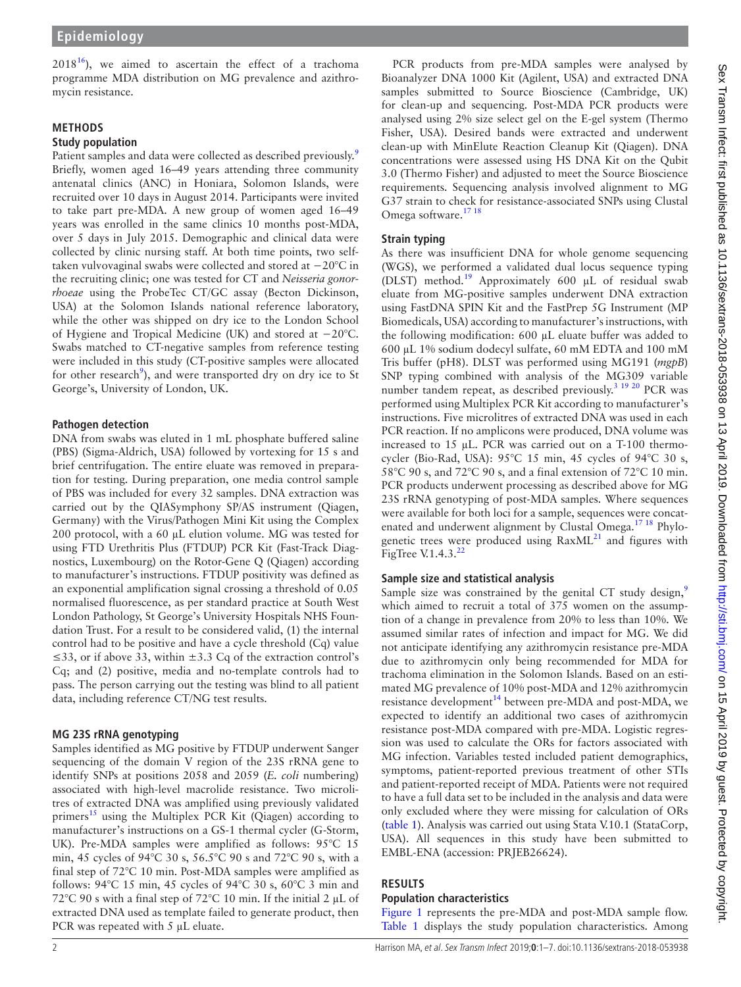$2018^{16}$ ), we aimed to ascertain the effect of a trachoma programme MDA distribution on MG prevalence and azithromycin resistance.

## **Methods**

### **Study population**

Patient samples and data were collected as described previously.<sup>9</sup> Briefly, women aged 16–49 years attending three community antenatal clinics (ANC) in Honiara, Solomon Islands, were recruited over 10 days in August 2014. Participants were invited to take part pre-MDA. A new group of women aged 16–49 years was enrolled in the same clinics 10 months post-MDA, over 5 days in July 2015. Demographic and clinical data were collected by clinic nursing staff. At both time points, two selftaken vulvovaginal swabs were collected and stored at −20°C in the recruiting clinic; one was tested for CT and *Neisseria gonorrhoeae* using the ProbeTec CT/GC assay (Becton Dickinson, USA) at the Solomon Islands national reference laboratory, while the other was shipped on dry ice to the London School of Hygiene and Tropical Medicine (UK) and stored at −20°C. Swabs matched to CT-negative samples from reference testing were included in this study (CT-positive samples were allocated for other research<sup>[9](#page-6-0)</sup>), and were transported dry on dry ice to St George's, University of London, UK.

## **Pathogen detection**

DNA from swabs was eluted in 1 mL phosphate buffered saline (PBS) (Sigma-Aldrich, USA) followed by vortexing for 15 s and brief centrifugation. The entire eluate was removed in preparation for testing. During preparation, one media control sample of PBS was included for every 32 samples. DNA extraction was carried out by the QIASymphony SP/AS instrument (Qiagen, Germany) with the Virus/Pathogen Mini Kit using the Complex 200 protocol, with a 60 µL elution volume. MG was tested for using FTD Urethritis Plus (FTDUP) PCR Kit (Fast-Track Diagnostics, Luxembourg) on the Rotor-Gene Q (Qiagen) according to manufacturer's instructions. FTDUP positivity was defined as an exponential amplification signal crossing a threshold of 0.05 normalised fluorescence, as per standard practice at South West London Pathology, St George's University Hospitals NHS Foundation Trust. For a result to be considered valid, (1) the internal control had to be positive and have a cycle threshold (Cq) value ≤33, or if above 33, within ±3.3 Cq of the extraction control's Cq; and (2) positive, media and no-template controls had to pass. The person carrying out the testing was blind to all patient data, including reference CT/NG test results.

## **MG 23S rRNA genotyping**

Samples identified as MG positive by FTDUP underwent Sanger sequencing of the domain V region of the 23S rRNA gene to identify SNPs at positions 2058 and 2059 (*E. coli* numbering) associated with high-level macrolide resistance. Two microlitres of extracted DNA was amplified using previously validated primers<sup>[15](#page-6-5)</sup> using the Multiplex PCR Kit (Qiagen) according to manufacturer's instructions on a GS-1 thermal cycler (G-Storm, UK). Pre-MDA samples were amplified as follows: 95°C 15 min, 45 cycles of 94°C 30 s, 56.5°C 90 s and 72°C 90 s, with a final step of 72°C 10 min. Post-MDA samples were amplified as follows: 94°C 15 min, 45 cycles of 94°C 30 s, 60°C 3 min and 72°C 90 s with a final step of 72°C 10 min. If the initial 2 µL of extracted DNA used as template failed to generate product, then PCR was repeated with 5 µL eluate.

## **Strain typing**

As there was insufficient DNA for whole genome sequencing (WGS), we performed a validated dual locus sequence typing (DLST) method.[19](#page-6-8) Approximately 600 µL of residual swab eluate from MG-positive samples underwent DNA extraction using FastDNA SPIN Kit and the FastPrep 5G Instrument (MP Biomedicals, USA) according to manufacturer's instructions, with the following modification: 600 µL eluate buffer was added to 600 µL 1% sodium dodecyl sulfate, 60 mM EDTA and 100 mM Tris buffer (pH8). DLST was performed using MG191 (*mgpB*) SNP typing combined with analysis of the MG309 variable number tandem repeat, as described previously.<sup>3 19 20</sup> PCR was performed using Multiplex PCR Kit according to manufacturer's instructions. Five microlitres of extracted DNA was used in each PCR reaction. If no amplicons were produced, DNA volume was increased to 15 µL. PCR was carried out on a T-100 thermocycler (Bio-Rad, USA): 95°C 15 min, 45 cycles of 94°C 30 s, 58°C 90 s, and 72°C 90 s, and a final extension of 72°C 10 min. PCR products underwent processing as described above for MG 23S rRNA genotyping of post-MDA samples. Where sequences were available for both loci for a sample, sequences were concatenated and underwent alignment by Clustal Omega.<sup>17 18</sup> Phylogenetic trees were produced using  $RaxML^{21}$  and figures with FigTree V.1.4.3. $^{22}$ 

## **Sample size and statistical analysis**

Sample size was constrained by the genital CT study design, $9$ which aimed to recruit a total of 375 women on the assumption of a change in prevalence from 20% to less than 10%. We assumed similar rates of infection and impact for MG. We did not anticipate identifying any azithromycin resistance pre-MDA due to azithromycin only being recommended for MDA for trachoma elimination in the Solomon Islands. Based on an estimated MG prevalence of 10% post-MDA and 12% azithromycin resistance development<sup>14</sup> between pre-MDA and post-MDA, we expected to identify an additional two cases of azithromycin resistance post-MDA compared with pre-MDA. Logistic regression was used to calculate the ORs for factors associated with MG infection. Variables tested included patient demographics, symptoms, patient-reported previous treatment of other STIs and patient-reported receipt of MDA. Patients were not required to have a full data set to be included in the analysis and data were only excluded where they were missing for calculation of ORs ([table](#page-2-0) 1). Analysis was carried out using Stata V.10.1 (StataCorp, USA). All sequences in this study have been submitted to EMBL-ENA (accession: PRJEB26624).

## **Results**

## **Population characteristics**

[Figure](#page-3-0) 1 represents the pre-MDA and post-MDA sample flow. [Table](#page-2-0) 1 displays the study population characteristics. Among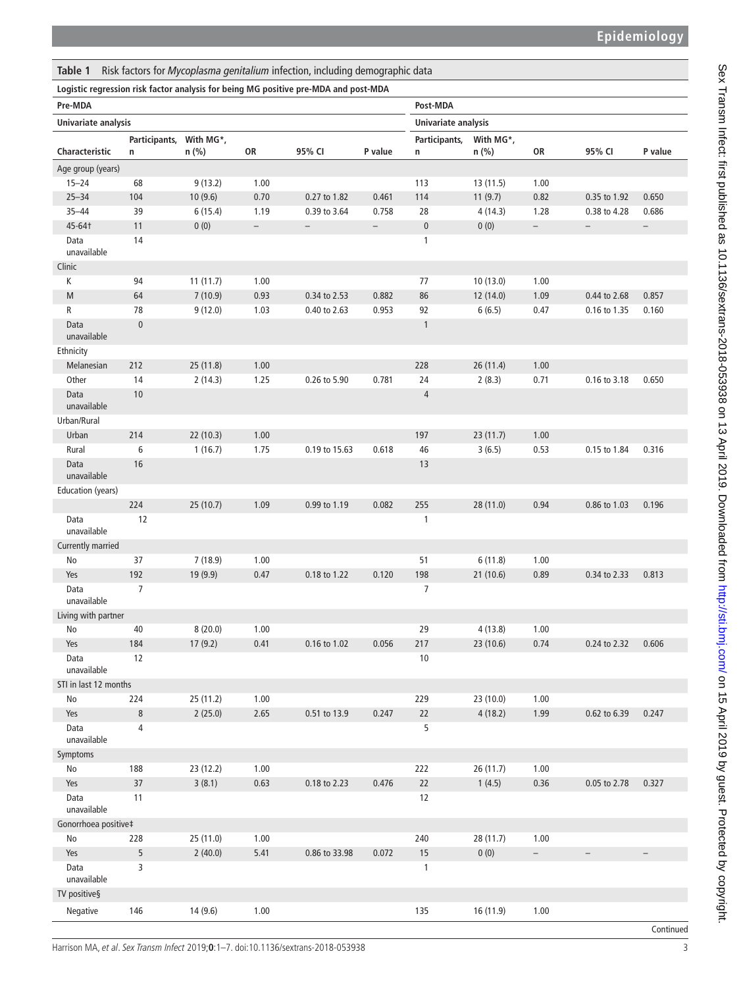<span id="page-2-0"></span>

|  | Table 1 Risk factors for Mycoplasma genitalium infection, including demographic data |
|--|--------------------------------------------------------------------------------------|

#### **Logistic regression risk factor analysis for being MG positive pre-MDA and post-MDA**

| . <sub>J</sub> . <sub>J</sub> .<br>Pre-MDA |               |           |                          |                          |                          | Post-MDA       |           |                          |                          |                   |  |
|--------------------------------------------|---------------|-----------|--------------------------|--------------------------|--------------------------|----------------|-----------|--------------------------|--------------------------|-------------------|--|
| Univariate analysis                        |               |           |                          |                          | Univariate analysis      |                |           |                          |                          |                   |  |
|                                            | Participants, | With MG*, |                          |                          |                          | Participants,  | With MG*, |                          |                          |                   |  |
| Characteristic                             | n             | n (%)     | OR                       | 95% CI                   | P value                  | n              | $n$ (%)   | OR                       | 95% CI                   | P value           |  |
| Age group (years)                          |               |           |                          |                          |                          |                |           |                          |                          |                   |  |
| $15 - 24$                                  | 68            | 9(13.2)   | 1.00                     |                          |                          | 113            | 13 (11.5) | 1.00                     |                          |                   |  |
| $25 - 34$                                  | 104           | 10(9.6)   | 0.70                     | 0.27 to 1.82             | 0.461                    | 114            | 11(9.7)   | 0.82                     | 0.35 to 1.92             | 0.650             |  |
| $35 - 44$                                  | 39            | 6(15.4)   | 1.19                     | 0.39 to 3.64             | 0.758                    | 28             | 4(14.3)   | 1.28                     | 0.38 to 4.28             | 0.686             |  |
| 45-64†                                     | 11            | 0(0)      | $\overline{\phantom{0}}$ | $\overline{\phantom{0}}$ | $\overline{\phantom{0}}$ | $\pmb{0}$      | 0(0)      | $\overline{\phantom{0}}$ | $\overline{\phantom{a}}$ | $\qquad \qquad -$ |  |
| Data<br>unavailable                        | 14            |           |                          |                          |                          | $\mathbf{1}$   |           |                          |                          |                   |  |
| Clinic                                     |               |           |                          |                          |                          |                |           |                          |                          |                   |  |
| K                                          | 94            | 11(11.7)  | 1.00                     |                          |                          | 77             | 10(13.0)  | 1.00                     |                          |                   |  |
| M                                          | 64            | 7(10.9)   | 0.93                     | 0.34 to 2.53             | 0.882                    | 86             | 12(14.0)  | 1.09                     | 0.44 to 2.68             | 0.857             |  |
| R                                          | 78            | 9(12.0)   | 1.03                     | 0.40 to 2.63             | 0.953                    | 92             | 6(6.5)    | 0.47                     | 0.16 to 1.35             | 0.160             |  |
| Data                                       | $\pmb{0}$     |           |                          |                          |                          | $\mathbf{1}$   |           |                          |                          |                   |  |
| unavailable                                |               |           |                          |                          |                          |                |           |                          |                          |                   |  |
| Ethnicity                                  |               |           |                          |                          |                          |                |           |                          |                          |                   |  |
| Melanesian                                 | 212           | 25 (11.8) | 1.00                     |                          |                          | 228            | 26 (11.4) | 1.00                     |                          |                   |  |
| Other                                      | 14            | 2(14.3)   | 1.25                     | 0.26 to 5.90             | 0.781                    | 24             | 2(8.3)    | 0.71                     | 0.16 to 3.18             | 0.650             |  |
| Data                                       | 10            |           |                          |                          |                          | $\overline{4}$ |           |                          |                          |                   |  |
| unavailable                                |               |           |                          |                          |                          |                |           |                          |                          |                   |  |
| Urban/Rural                                |               |           |                          |                          |                          |                |           |                          |                          |                   |  |
| Urban                                      | 214           | 22 (10.3) | 1.00                     |                          |                          | 197            | 23(11.7)  | 1.00                     |                          |                   |  |
| Rural                                      | 6             | 1(16.7)   | 1.75                     | 0.19 to 15.63            | 0.618                    | 46             | 3(6.5)    | 0.53                     | 0.15 to 1.84             | 0.316             |  |
| Data<br>unavailable                        | 16            |           |                          |                          |                          | 13             |           |                          |                          |                   |  |
| Education (years)                          |               |           |                          |                          |                          |                |           |                          |                          |                   |  |
|                                            | 224           | 25 (10.7) | 1.09                     | 0.99 to 1.19             | 0.082                    | 255            | 28 (11.0) | 0.94                     | 0.86 to 1.03             | 0.196             |  |
| Data                                       | 12            |           |                          |                          |                          | $\mathbf{1}$   |           |                          |                          |                   |  |
| unavailable                                |               |           |                          |                          |                          |                |           |                          |                          |                   |  |
| Currently married                          |               |           |                          |                          |                          |                |           |                          |                          |                   |  |
| No                                         | 37            | 7(18.9)   | 1.00                     |                          |                          | 51             | 6(11.8)   | 1.00                     |                          |                   |  |
| Yes                                        | 192           | 19 (9.9)  | 0.47                     | 0.18 to 1.22             | 0.120                    | 198            | 21(10.6)  | 0.89                     | 0.34 to 2.33             | 0.813             |  |
| Data                                       | 7             |           |                          |                          |                          | $\overline{7}$ |           |                          |                          |                   |  |
| unavailable                                |               |           |                          |                          |                          |                |           |                          |                          |                   |  |
| Living with partner                        |               |           |                          |                          |                          |                |           |                          |                          |                   |  |
| No                                         | 40            | 8(20.0)   | 1.00                     |                          |                          | 29             | 4(13.8)   | 1.00                     |                          |                   |  |
| Yes                                        | 184           | 17(9.2)   | 0.41                     | 0.16 to 1.02             | 0.056                    | 217            | 23(10.6)  | 0.74                     | 0.24 to 2.32             | 0.606             |  |
| Data<br>unavailable                        | 12            |           |                          |                          |                          | 10             |           |                          |                          |                   |  |
| STI in last 12 months                      |               |           |                          |                          |                          |                |           |                          |                          |                   |  |
| No                                         | 224           | 25 (11.2) | 1.00                     |                          |                          | 229            | 23 (10.0) | 1.00                     |                          |                   |  |
| Yes                                        | $\,8\,$       | 2(25.0)   | 2.65                     | 0.51 to 13.9             | 0.247                    | $22\,$         | 4(18.2)   | 1.99                     | 0.62 to 6.39             | 0.247             |  |
| Data                                       | 4             |           |                          |                          |                          | 5              |           |                          |                          |                   |  |
| unavailable                                |               |           |                          |                          |                          |                |           |                          |                          |                   |  |
| Symptoms                                   |               |           |                          |                          |                          |                |           |                          |                          |                   |  |
| No                                         | 188           | 23 (12.2) | 1.00                     |                          |                          | 222            | 26(11.7)  | 1.00                     |                          |                   |  |
| Yes                                        | 37            | 3(8.1)    | 0.63                     | 0.18 to 2.23             | 0.476                    | $22$           | 1(4.5)    | 0.36                     | 0.05 to 2.78             | 0.327             |  |
| Data                                       | 11            |           |                          |                          |                          | 12             |           |                          |                          |                   |  |
| unavailable                                |               |           |                          |                          |                          |                |           |                          |                          |                   |  |
| Gonorrhoea positive‡                       |               |           |                          |                          |                          |                |           |                          |                          |                   |  |
| No                                         | 228           | 25 (11.0) | 1.00                     |                          |                          | 240            | 28 (11.7) | 1.00                     |                          |                   |  |
| Yes                                        | 5             | 2(40.0)   | 5.41                     | 0.86 to 33.98            | 0.072                    | $15\,$         | 0(0)      | $\overline{\phantom{a}}$ | $\overline{\phantom{a}}$ | $-$               |  |
| Data<br>unavailable                        | 3             |           |                          |                          |                          | 1              |           |                          |                          |                   |  |
| TV positive§                               |               |           |                          |                          |                          |                |           |                          |                          |                   |  |
|                                            |               |           |                          |                          |                          |                |           |                          |                          |                   |  |
| Negative                                   | 146           | 14(9.6)   | 1.00                     |                          |                          | 135            | 16 (11.9) | 1.00                     |                          |                   |  |
|                                            |               |           |                          |                          |                          |                |           |                          |                          | Continued         |  |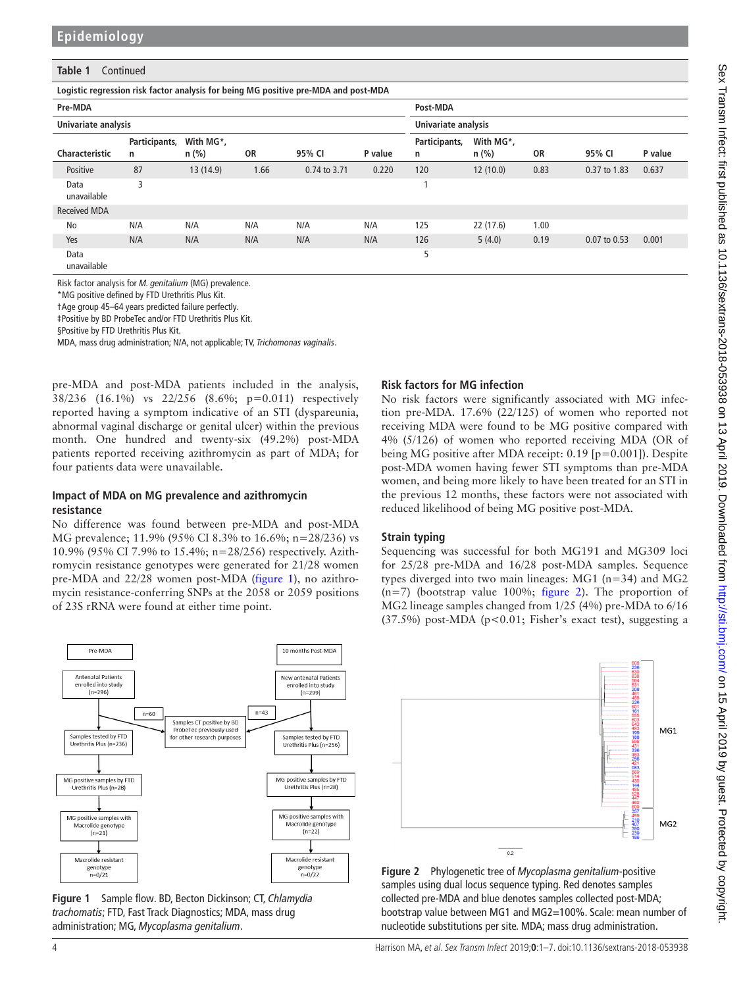#### **Table 1** Continued

**Logistic regression risk factor analysis for being MG positive pre-MDA and post-MDA**

| Pre-MDA             |                    |                      |      |              | Post-MDA |                     |                      |      |              |         |
|---------------------|--------------------|----------------------|------|--------------|----------|---------------------|----------------------|------|--------------|---------|
| Univariate analysis |                    |                      |      |              |          | Univariate analysis |                      |      |              |         |
| Characteristic      | Participants,<br>n | With MG*,<br>$n$ (%) | 0R   | 95% CI       | P value  | Participants,<br>n  | With MG*,<br>$n$ (%) | OR   | 95% CI       | P value |
| Positive            | 87                 | 13(14.9)             | 1.66 | 0.74 to 3.71 | 0.220    | 120                 | 12(10.0)             | 0.83 | 0.37 to 1.83 | 0.637   |
| Data<br>unavailable | 3                  |                      |      |              |          |                     |                      |      |              |         |
| <b>Received MDA</b> |                    |                      |      |              |          |                     |                      |      |              |         |
| No                  | N/A                | N/A                  | N/A  | N/A          | N/A      | 125                 | 22 (17.6)            | 1.00 |              |         |
| Yes                 | N/A                | N/A                  | N/A  | N/A          | N/A      | 126                 | 5(4.0)               | 0.19 | 0.07 to 0.53 | 0.001   |
| Data<br>unavailable |                    |                      |      |              |          | 5                   |                      |      |              |         |

Risk factor analysis for *M. genitalium* (MG) prevalence.

\*MG positive defined by FTD Urethritis Plus Kit.

†Age group 45–64 years predicted failure perfectly.

‡Positive by BD ProbeTec and/or FTD Urethritis Plus Kit.

§Positive by FTD Urethritis Plus Kit.

MDA, mass drug administration; N/A, not applicable; TV, *Trichomonas vaginalis*.

pre-MDA and post-MDA patients included in the analysis, 38/236 (16.1%) vs 22/256 (8.6%; p=0.011) respectively reported having a symptom indicative of an STI (dyspareunia, abnormal vaginal discharge or genital ulcer) within the previous month. One hundred and twenty-six (49.2%) post-MDA patients reported receiving azithromycin as part of MDA; for four patients data were unavailable.

#### **Impact of MDA on MG prevalence and azithromycin resistance**

No difference was found between pre-MDA and post-MDA MG prevalence; 11.9% (95% CI 8.3% to 16.6%; n=28/236) vs 10.9% (95% CI 7.9% to 15.4%; n=28/256) respectively. Azithromycin resistance genotypes were generated for 21/28 women pre-MDA and 22/28 women post-MDA [\(figure](#page-3-0) 1), no azithromycin resistance-conferring SNPs at the 2058 or 2059 positions of 23S rRNA were found at either time point.



<span id="page-3-0"></span>**Figure 1** Sample flow. BD, Becton Dickinson; CT, *Chlamydia trachomatis*; FTD, Fast Track Diagnostics; MDA, mass drug administration; MG, *Mycoplasma genitalium*.

#### **Risk factors for MG infection**

No risk factors were significantly associated with MG infection pre-MDA. 17.6% (22/125) of women who reported not receiving MDA were found to be MG positive compared with 4% (5/126) of women who reported receiving MDA (OR of being MG positive after MDA receipt: 0.19 [p=0.001]). Despite post-MDA women having fewer STI symptoms than pre-MDA women, and being more likely to have been treated for an STI in the previous 12 months, these factors were not associated with reduced likelihood of being MG positive post-MDA.

#### **Strain typing**

Sequencing was successful for both MG191 and MG309 loci for 25/28 pre-MDA and 16/28 post-MDA samples. Sequence types diverged into two main lineages: MG1 (n=34) and MG2  $(n=7)$  (bootstrap value 100%; [figure](#page-3-1) 2). The proportion of MG2 lineage samples changed from 1/25 (4%) pre-MDA to 6/16  $(37.5%)$  post-MDA (p<0.01; Fisher's exact test), suggesting a



<span id="page-3-1"></span>**Figure 2** Phylogenetic tree of *Mycoplasma genitalium*-positive samples using dual locus sequence typing. Red denotes samples collected pre-MDA and blue denotes samples collected post-MDA; bootstrap value between MG1 and MG2=100%. Scale: mean number of nucleotide substitutions per site. MDA; mass drug administration.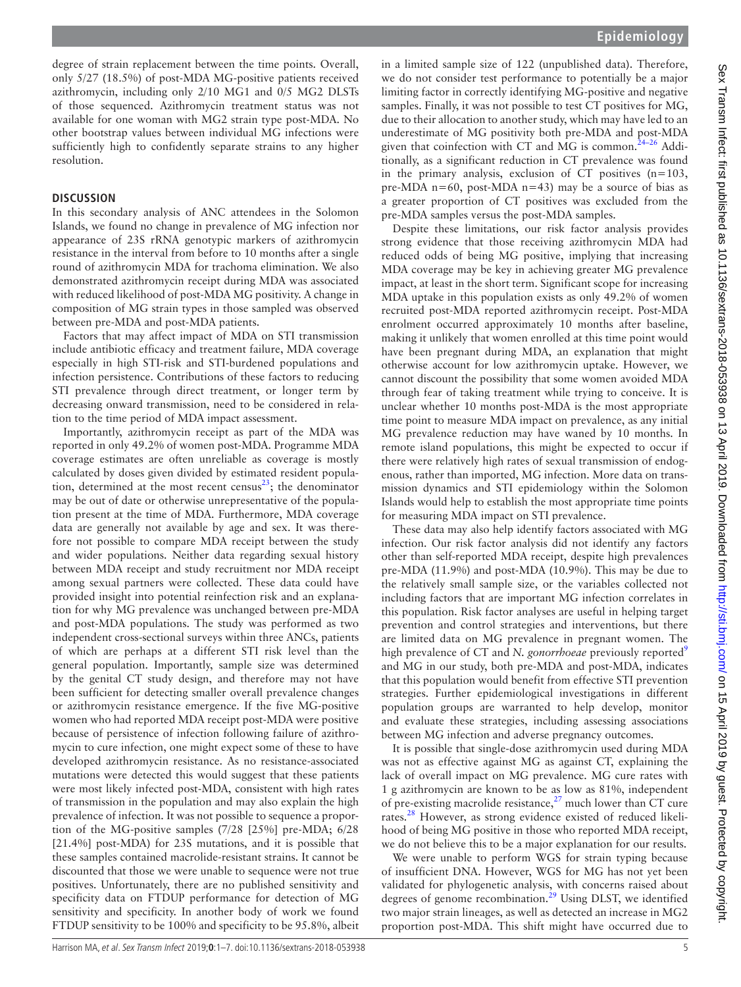degree of strain replacement between the time points. Overall, only 5/27 (18.5%) of post-MDA MG-positive patients received azithromycin, including only 2/10 MG1 and 0/5 MG2 DLSTs of those sequenced. Azithromycin treatment status was not available for one woman with MG2 strain type post-MDA. No other bootstrap values between individual MG infections were sufficiently high to confidently separate strains to any higher resolution.

#### **Discussion**

In this secondary analysis of ANC attendees in the Solomon Islands, we found no change in prevalence of MG infection nor appearance of 23S rRNA genotypic markers of azithromycin resistance in the interval from before to 10 months after a single round of azithromycin MDA for trachoma elimination. We also demonstrated azithromycin receipt during MDA was associated with reduced likelihood of post-MDA MG positivity. A change in composition of MG strain types in those sampled was observed between pre-MDA and post-MDA patients.

Factors that may affect impact of MDA on STI transmission include antibiotic efficacy and treatment failure, MDA coverage especially in high STI-risk and STI-burdened populations and infection persistence. Contributions of these factors to reducing STI prevalence through direct treatment, or longer term by decreasing onward transmission, need to be considered in relation to the time period of MDA impact assessment.

Importantly, azithromycin receipt as part of the MDA was reported in only 49.2% of women post-MDA. Programme MDA coverage estimates are often unreliable as coverage is mostly calculated by doses given divided by estimated resident population, determined at the most recent census<sup>23</sup>; the denominator may be out of date or otherwise unrepresentative of the population present at the time of MDA. Furthermore, MDA coverage data are generally not available by age and sex. It was therefore not possible to compare MDA receipt between the study and wider populations. Neither data regarding sexual history between MDA receipt and study recruitment nor MDA receipt among sexual partners were collected. These data could have provided insight into potential reinfection risk and an explanation for why MG prevalence was unchanged between pre-MDA and post-MDA populations. The study was performed as two independent cross-sectional surveys within three ANCs, patients of which are perhaps at a different STI risk level than the general population. Importantly, sample size was determined by the genital CT study design, and therefore may not have been sufficient for detecting smaller overall prevalence changes or azithromycin resistance emergence. If the five MG-positive women who had reported MDA receipt post-MDA were positive because of persistence of infection following failure of azithromycin to cure infection, one might expect some of these to have developed azithromycin resistance. As no resistance-associated mutations were detected this would suggest that these patients were most likely infected post-MDA, consistent with high rates of transmission in the population and may also explain the high prevalence of infection. It was not possible to sequence a proportion of the MG-positive samples (7/28 [25%] pre-MDA; 6/28 [21.4%] post-MDA) for 23S mutations, and it is possible that these samples contained macrolide-resistant strains. It cannot be discounted that those we were unable to sequence were not true positives. Unfortunately, there are no published sensitivity and specificity data on FTDUP performance for detection of MG sensitivity and specificity. In another body of work we found FTDUP sensitivity to be 100% and specificity to be 95.8%, albeit in a limited sample size of 122 (unpublished data). Therefore, we do not consider test performance to potentially be a major limiting factor in correctly identifying MG-positive and negative samples. Finally, it was not possible to test CT positives for MG, due to their allocation to another study, which may have led to an underestimate of MG positivity both pre-MDA and post-MDA given that coinfection with CT and MG is common.<sup> $24-26$ </sup> Additionally, as a significant reduction in CT prevalence was found in the primary analysis, exclusion of CT positives (n=103, pre-MDA n=60, post-MDA n=43) may be a source of bias as a greater proportion of CT positives was excluded from the pre-MDA samples versus the post-MDA samples.

Despite these limitations, our risk factor analysis provides strong evidence that those receiving azithromycin MDA had reduced odds of being MG positive, implying that increasing MDA coverage may be key in achieving greater MG prevalence impact, at least in the short term. Significant scope for increasing MDA uptake in this population exists as only 49.2% of women recruited post-MDA reported azithromycin receipt. Post-MDA enrolment occurred approximately 10 months after baseline, making it unlikely that women enrolled at this time point would have been pregnant during MDA, an explanation that might otherwise account for low azithromycin uptake. However, we cannot discount the possibility that some women avoided MDA through fear of taking treatment while trying to conceive. It is unclear whether 10 months post-MDA is the most appropriate time point to measure MDA impact on prevalence, as any initial MG prevalence reduction may have waned by 10 months. In remote island populations, this might be expected to occur if there were relatively high rates of sexual transmission of endogenous, rather than imported, MG infection. More data on transmission dynamics and STI epidemiology within the Solomon Islands would help to establish the most appropriate time points for measuring MDA impact on STI prevalence.

These data may also help identify factors associated with MG infection. Our risk factor analysis did not identify any factors other than self-reported MDA receipt, despite high prevalences pre-MDA (11.9%) and post-MDA (10.9%). This may be due to the relatively small sample size, or the variables collected not including factors that are important MG infection correlates in this population. Risk factor analyses are useful in helping target prevention and control strategies and interventions, but there are limited data on MG prevalence in pregnant women. The high prevalence of CT and *N. gonorrhoeae* previously reported<sup>[9](#page-6-0)</sup> and MG in our study, both pre-MDA and post-MDA, indicates that this population would benefit from effective STI prevention strategies. Further epidemiological investigations in different population groups are warranted to help develop, monitor and evaluate these strategies, including assessing associations between MG infection and adverse pregnancy outcomes.

It is possible that single-dose azithromycin used during MDA was not as effective against MG as against CT, explaining the lack of overall impact on MG prevalence. MG cure rates with 1 g azithromycin are known to be as low as 81%, independent of pre-existing macrolide resistance, $27$  much lower than CT cure rates.<sup>28</sup> However, as strong evidence existed of reduced likelihood of being MG positive in those who reported MDA receipt, we do not believe this to be a major explanation for our results.

We were unable to perform WGS for strain typing because of insufficient DNA. However, WGS for MG has not yet been validated for phylogenetic analysis, with concerns raised about degrees of genome recombination.<sup>29</sup> Using DLST, we identified two major strain lineages, as well as detected an increase in MG2 proportion post-MDA. This shift might have occurred due to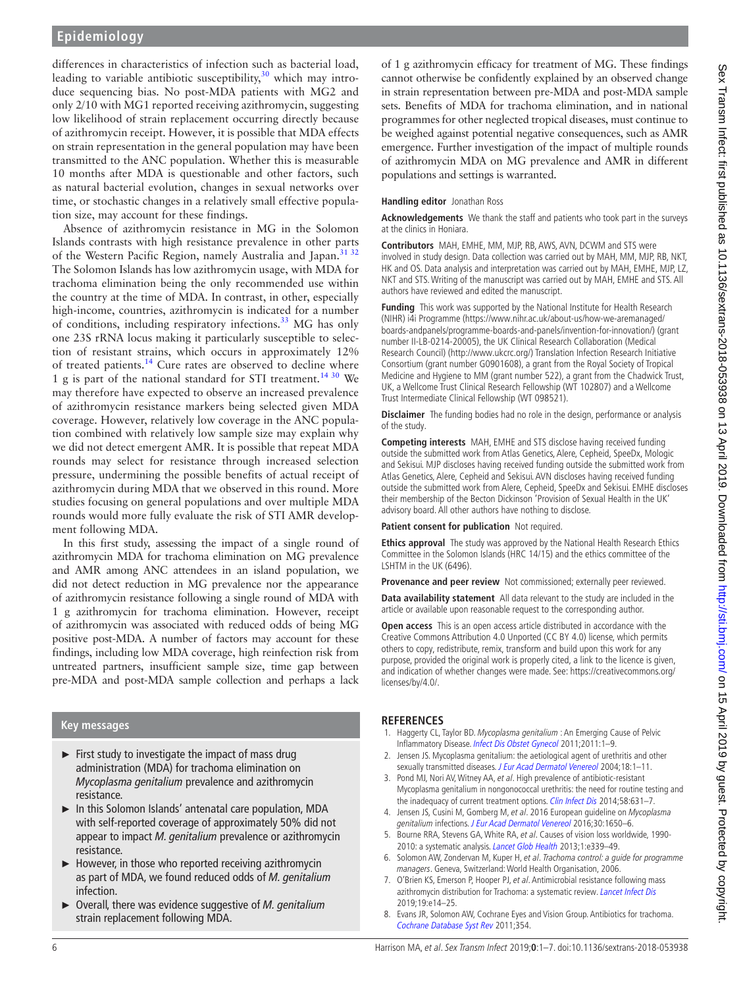## **Epidemiology**

differences in characteristics of infection such as bacterial load, leading to variable antibiotic susceptibility, $30$  which may introduce sequencing bias. No post-MDA patients with MG2 and only 2/10 with MG1 reported receiving azithromycin, suggesting low likelihood of strain replacement occurring directly because of azithromycin receipt. However, it is possible that MDA effects on strain representation in the general population may have been transmitted to the ANC population. Whether this is measurable 10 months after MDA is questionable and other factors, such as natural bacterial evolution, changes in sexual networks over time, or stochastic changes in a relatively small effective population size, may account for these findings.

Absence of azithromycin resistance in MG in the Solomon Islands contrasts with high resistance prevalence in other parts of the Western Pacific Region, namely Australia and Japan.<sup>31 32</sup> The Solomon Islands has low azithromycin usage, with MDA for trachoma elimination being the only recommended use within the country at the time of MDA. In contrast, in other, especially high-income, countries, azithromycin is indicated for a number of conditions, including respiratory infections.<sup>[33](#page-6-18)</sup> MG has only one 23S rRNA locus making it particularly susceptible to selection of resistant strains, which occurs in approximately 12% of treated patients.<sup>14</sup> Cure rates are observed to decline where 1 g is part of the national standard for STI treatment.<sup>[14 30](#page-6-4)</sup> We may therefore have expected to observe an increased prevalence of azithromycin resistance markers being selected given MDA coverage. However, relatively low coverage in the ANC population combined with relatively low sample size may explain why we did not detect emergent AMR. It is possible that repeat MDA rounds may select for resistance through increased selection pressure, undermining the possible benefits of actual receipt of azithromycin during MDA that we observed in this round. More studies focusing on general populations and over multiple MDA rounds would more fully evaluate the risk of STI AMR development following MDA.

In this first study, assessing the impact of a single round of azithromycin MDA for trachoma elimination on MG prevalence and AMR among ANC attendees in an island population, we did not detect reduction in MG prevalence nor the appearance of azithromycin resistance following a single round of MDA with 1 g azithromycin for trachoma elimination. However, receipt of azithromycin was associated with reduced odds of being MG positive post-MDA. A number of factors may account for these findings, including low MDA coverage, high reinfection risk from untreated partners, insufficient sample size, time gap between pre-MDA and post-MDA sample collection and perhaps a lack

## **Key messages**

- ► First study to investigate the impact of mass drug administration (MDA) for trachoma elimination on *Mycoplasma genitalium* prevalence and azithromycin resistance.
- ► In this Solomon Islands' antenatal care population, MDA with self-reported coverage of approximately 50% did not appear to impact *M. genitalium* prevalence or azithromycin resistance.
- ► However, in those who reported receiving azithromycin as part of MDA, we found reduced odds of *M. genitalium* infection.
- ► Overall, there was evidence suggestive of *M. genitalium* strain replacement following MDA.

of 1 g azithromycin efficacy for treatment of MG. These findings cannot otherwise be confidently explained by an observed change in strain representation between pre-MDA and post-MDA sample sets. Benefits of MDA for trachoma elimination, and in national programmes for other neglected tropical diseases, must continue to be weighed against potential negative consequences, such as AMR emergence. Further investigation of the impact of multiple rounds of azithromycin MDA on MG prevalence and AMR in different populations and settings is warranted.

#### **Handling editor** Jonathan Ross

**Acknowledgements** We thank the staff and patients who took part in the surveys at the clinics in Honiara.

**Contributors** MAH, EMHE, MM, MJP, RB, AWS, AVN, DCWM and STS were involved in study design. Data collection was carried out by MAH, MM, MJP, RB, NKT, HK and OS. Data analysis and interpretation was carried out by MAH, EMHE, MJP, LZ, NKT and STS. Writing of the manuscript was carried out by MAH, EMHE and STS. All authors have reviewed and edited the manuscript.

**Funding** This work was supported by the National Institute for Health Research (NIHR) i4i Programme [\(https://www.nihr.ac.uk/about-us/how-we-aremanaged/](https://www.nihr.ac.uk/about-us/how-we-aremanaged/boards-andpanels/programme-boards-and-panels/invention-for-innovation/) [boards-andpanels/programme-boards-and-panels/invention-for-innovation/](https://www.nihr.ac.uk/about-us/how-we-aremanaged/boards-andpanels/programme-boards-and-panels/invention-for-innovation/)) (grant number II-LB-0214-20005), the UK Clinical Research Collaboration (Medical Research Council) [\(http://www.ukcrc.org/\)](http://www.ukcrc.org/) Translation Infection Research Initiative Consortium (grant number G0901608), a grant from the Royal Society of Tropical Medicine and Hygiene to MM (grant number 522), a grant from the Chadwick Trust, UK, a Wellcome Trust Clinical Research Fellowship (WT 102807) and a Wellcome Trust Intermediate Clinical Fellowship (WT 098521).

**Disclaimer** The funding bodies had no role in the design, performance or analysis of the study.

**Competing interests** MAH, EMHE and STS disclose having received funding outside the submitted work from Atlas Genetics, Alere, Cepheid, SpeeDx, Mologic and Sekisui. MJP discloses having received funding outside the submitted work from Atlas Genetics, Alere, Cepheid and Sekisui. AVN discloses having received funding outside the submitted work from Alere, Cepheid, SpeeDx and Sekisui. EMHE discloses their membership of the Becton Dickinson 'Provision of Sexual Health in the UK' advisory board. All other authors have nothing to disclose.

**Patient consent for publication** Not required.

**Ethics approval** The study was approved by the National Health Research Ethics Committee in the Solomon Islands (HRC 14/15) and the ethics committee of the LSHTM in the UK (6496).

**Provenance and peer review** Not commissioned; externally peer reviewed.

**Data availability statement** All data relevant to the study are included in the article or available upon reasonable request to the corresponding author.

**Open access** This is an open access article distributed in accordance with the Creative Commons Attribution 4.0 Unported (CC BY 4.0) license, which permits others to copy, redistribute, remix, transform and build upon this work for any purpose, provided the original work is properly cited, a link to the licence is given, and indication of whether changes were made. See: [https://creativecommons.org/](https://creativecommons.org/licenses/by/4.0/) [licenses/by/4.0/.](https://creativecommons.org/licenses/by/4.0/)

## **References**

- <span id="page-5-0"></span>1. Haggerty CL, Taylor BD. Mycoplasma genitalium : An Emerging Cause of Pelvic Inflammatory Disease. [Infect Dis Obstet Gynecol](http://dx.doi.org/10.1155/2011/959816) 2011;2011:1–9.
- 2. Jensen JS. Mycoplasma genitalium: the aetiological agent of urethritis and other sexually transmitted diseases. [J Eur Acad Dermatol Venereol](http://dx.doi.org/10.1111/j.1468-3083.2004.00923.x) 2004;18:1-11.
- <span id="page-5-1"></span>3. Pond MJ, Nori AV, Witney AA, et al. High prevalence of antibiotic-resistant Mycoplasma genitalium in nongonococcal urethritis: the need for routine testing and the inadequacy of current treatment options. [Clin Infect Dis](http://dx.doi.org/10.1093/cid/cit752) 2014:58:631–7.
- <span id="page-5-2"></span>4. Jensen JS, Cusini M, Gomberg M, et al. 2016 European guideline on Mycoplasma genitalium infections. [J Eur Acad Dermatol Venereol](http://dx.doi.org/10.1111/jdv.13849) 2016;30:1650–6.
- <span id="page-5-3"></span>5. Bourne RRA, Stevens GA, White RA, et al. Causes of vision loss worldwide, 1990- 2010: a systematic analysis. [Lancet Glob Health](http://dx.doi.org/10.1016/S2214-109X(13)70113-X) 2013;1:e339-49.
- <span id="page-5-4"></span>6. Solomon AW, Zondervan M, Kuper H, et al. Trachoma control: a guide for programme managers. Geneva, Switzerland: World Health Organisation, 2006.
- <span id="page-5-5"></span>7. O'Brien KS, Emerson P, Hooper PJ, et al. Antimicrobial resistance following mass azithromycin distribution for Trachoma: a systematic review. [Lancet Infect Dis](http://dx.doi.org/10.1016/S1473-3099(18)30444-4) 2019;19:e14–25.
- <span id="page-5-6"></span>8. Evans JR, Solomon AW, Cochrane Eyes and Vision Group. Antibiotics for trachoma. [Cochrane Database Syst Rev](http://dx.doi.org/10.1002/14651858.CD001860.pub3) 2011;354.